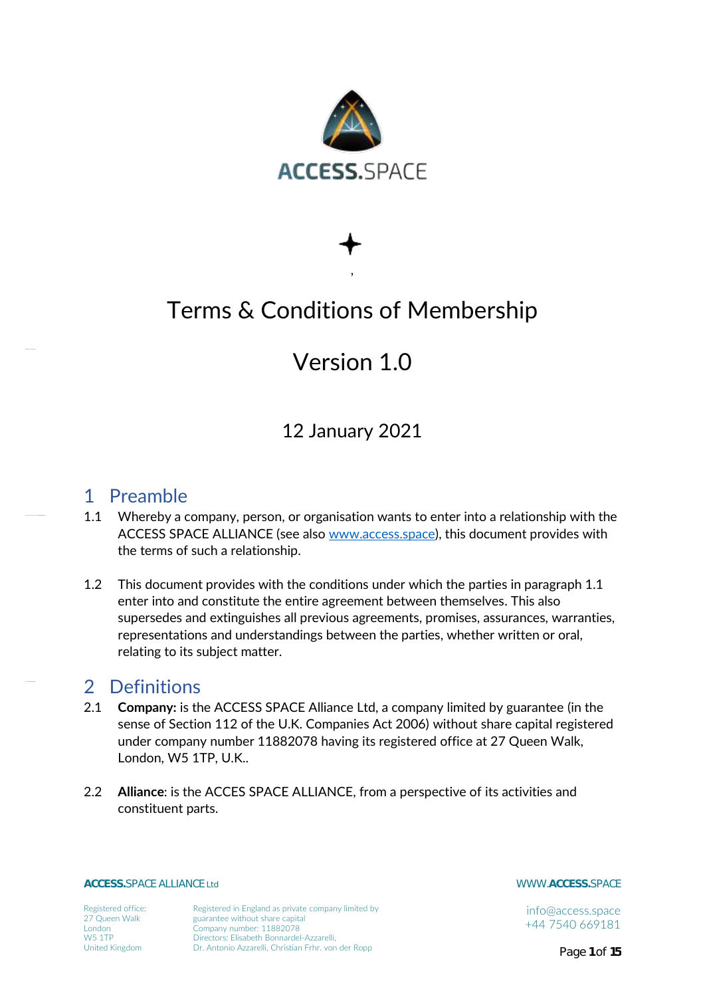



,

# Terms & Conditions of Membership

# Version 1.0

# 12 January 2021

### 1 Preamble

- 1.1 Whereby a company, person, or organisation wants to enter into a relationship with the ACCESS SPACE ALLIANCE (see also [www.access.space\)](http://www.access.space/), this document provides with the terms of such a relationship.
- 1.2 This document provides with the conditions under which the parties in paragraph 1.1 enter into and constitute the entire agreement between themselves. This also supersedes and extinguishes all previous agreements, promises, assurances, warranties, representations and understandings between the parties, whether written or oral, relating to its subject matter.

### 2 Definitions

- 2.1 **Company:** is the ACCESS SPACE Alliance Ltd, a company limited by guarantee (in the sense of Section 112 of the U.K. Companies Act 2006) without share capital registered under company number 11882078 having its registered office at 27 Queen Walk, London, W5 1TP, U.K..
- 2.2 **Alliance**: is the ACCES SPACE ALLIANCE, from a perspective of its activities and constituent parts.

**ACCESS.**SPACE ALLIANCE Ltd WWW.**ACCESS.**SPACE

Registered office: 27 Queen Walk London W5 1TP United Kingdom

Registered in England as private company limited by guarantee without share capital Company number: 11882078 Directors: Elisabeth Bonnardel-Azzarelli, Dr. Antonio Azzarelli, Christian Frhr. von der Ropp

info@access.space +44 7540 669181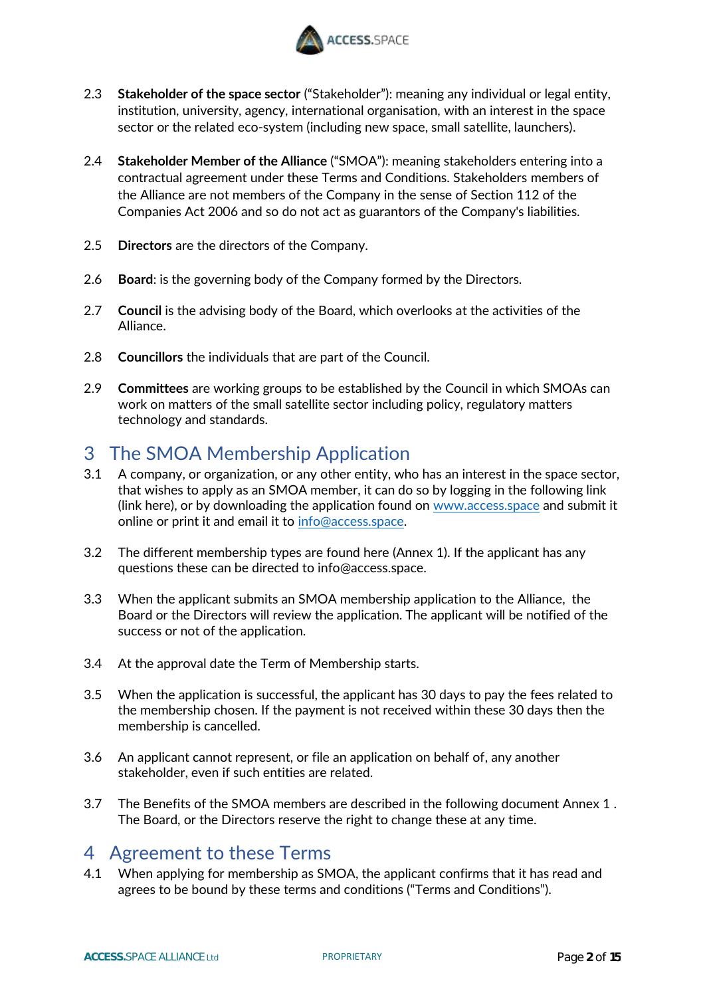

- 2.3 **Stakeholder of the space sector** ("Stakeholder"): meaning any individual or legal entity, institution, university, agency, international organisation, with an interest in the space sector or the related eco-system (including new space, small satellite, launchers).
- 2.4 **Stakeholder Member of the Alliance** ("SMOA"): meaning stakeholders entering into a contractual agreement under these Terms and Conditions. Stakeholders members of the Alliance are not members of the Company in the sense of Section 112 of the Companies Act 2006 and so do not act as guarantors of the Company's liabilities.
- 2.5 **Directors** are the directors of the Company.
- 2.6 **Board**: is the governing body of the Company formed by the Directors.
- 2.7 **Council** is the advising body of the Board, which overlooks at the activities of the Alliance.
- 2.8 **Councillors** the individuals that are part of the Council.
- 2.9 **Committees** are working groups to be established by the Council in which SMOAs can work on matters of the small satellite sector including policy, regulatory matters technology and standards.

# 3 The SMOA Membership Application

- 3.1 A company, or organization, or any other entity, who has an interest in the space sector, that wishes to apply as an SMOA member, it can do so by logging in the following link (link here), or by downloading the application found on [www.access.space](http://www.access.space/) and submit it online or print it and email it to [info@access.space.](mailto:info@access.space)
- 3.2 The different membership types are found here (Annex 1). If the applicant has any questions these can be directed to info@access.space.
- 3.3 When the applicant submits an SMOA membership application to the Alliance, the Board or the Directors will review the application. The applicant will be notified of the success or not of the application.
- 3.4 At the approval date the Term of Membership starts.
- 3.5 When the application is successful, the applicant has 30 days to pay the fees related to the membership chosen. If the payment is not received within these 30 days then the membership is cancelled.
- 3.6 An applicant cannot represent, or file an application on behalf of, any another stakeholder, even if such entities are related.
- 3.7 The Benefits of the SMOA members are described in the following document Annex 1 . The Board, or the Directors reserve the right to change these at any time.

### 4 Agreement to these Terms

4.1 When applying for membership as SMOA, the applicant confirms that it has read and agrees to be bound by these terms and conditions ("Terms and Conditions").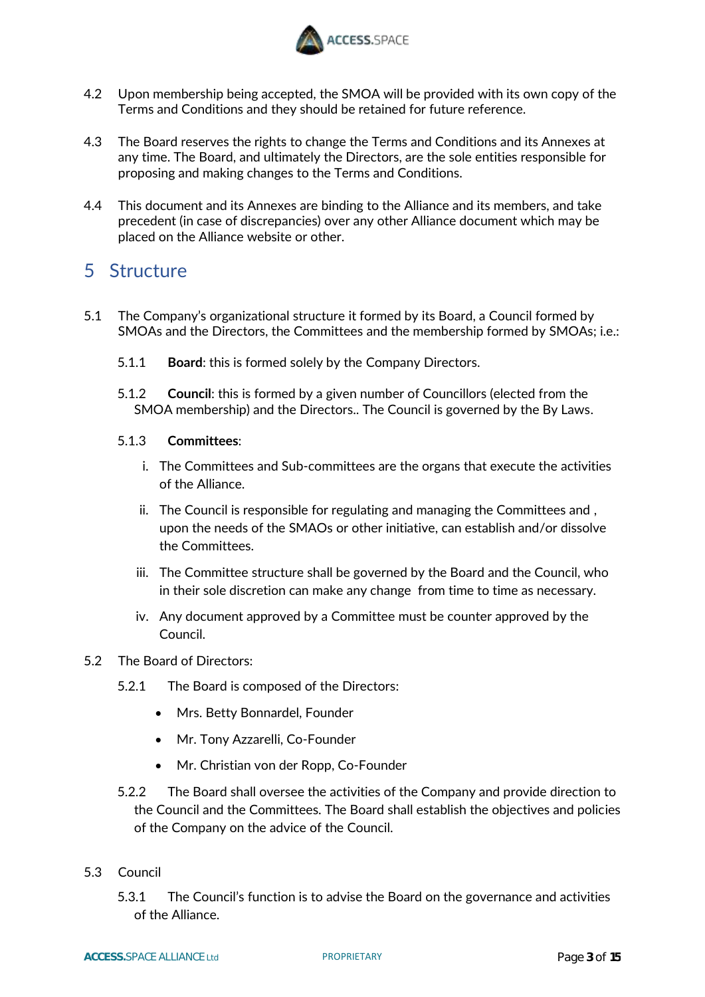

- 4.2 Upon membership being accepted, the SMOA will be provided with its own copy of the Terms and Conditions and they should be retained for future reference.
- 4.3 The Board reserves the rights to change the Terms and Conditions and its Annexes at any time. The Board, and ultimately the Directors, are the sole entities responsible for proposing and making changes to the Terms and Conditions.
- 4.4 This document and its Annexes are binding to the Alliance and its members, and take precedent (in case of discrepancies) over any other Alliance document which may be placed on the Alliance website or other.

# 5 Structure

- 5.1 The Company's organizational structure it formed by its Board, a Council formed by SMOAs and the Directors, the Committees and the membership formed by SMOAs; i.e.:
	- 5.1.1 **Board**: this is formed solely by the Company Directors.
	- 5.1.2 **Council**: this is formed by a given number of Councillors (elected from the SMOA membership) and the Directors.. The Council is governed by the By Laws.

### 5.1.3 **Committees**:

- i. The Committees and Sub-committees are the organs that execute the activities of the Alliance.
- ii. The Council is responsible for regulating and managing the Committees and , upon the needs of the SMAOs or other initiative, can establish and/or dissolve the Committees.
- iii. The Committee structure shall be governed by the Board and the Council, who in their sole discretion can make any change from time to time as necessary.
- iv. Any document approved by a Committee must be counter approved by the Council.
- 5.2 The Board of Directors:
	- 5.2.1 The Board is composed of the Directors:
		- Mrs. Betty Bonnardel, Founder
		- Mr. Tony Azzarelli, Co-Founder
		- Mr. Christian von der Ropp, Co-Founder
	- 5.2.2 The Board shall oversee the activities of the Company and provide direction to the Council and the Committees. The Board shall establish the objectives and policies of the Company on the advice of the Council.
- 5.3 Council
	- 5.3.1 The Council's function is to advise the Board on the governance and activities of the Alliance.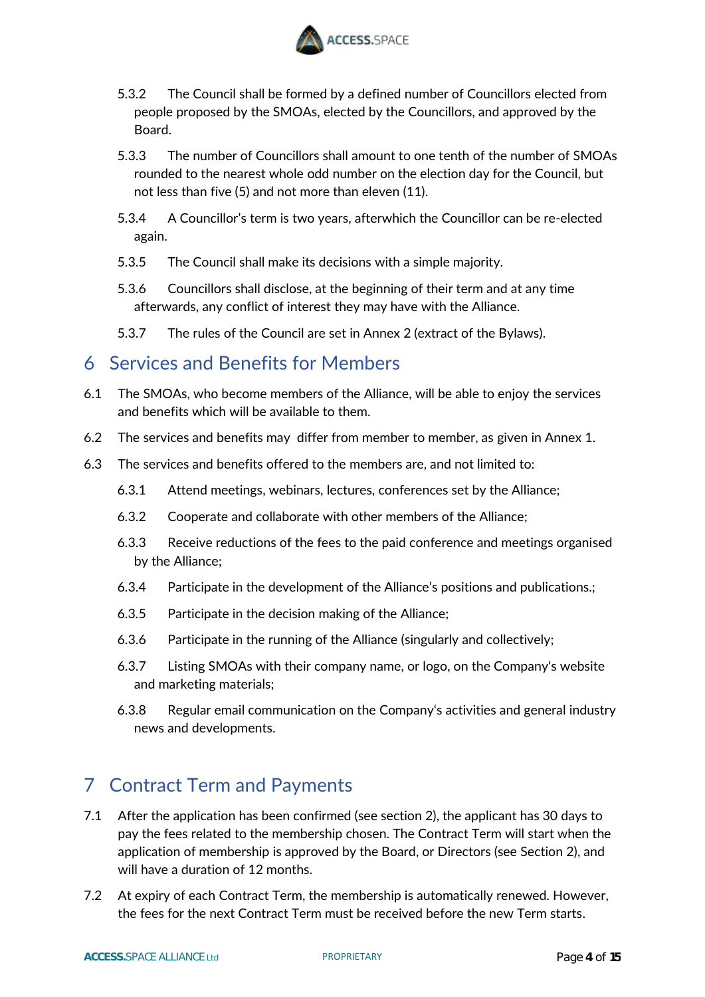

- 5.3.2 The Council shall be formed by a defined number of Councillors elected from people proposed by the SMOAs, elected by the Councillors, and approved by the Board.
- 5.3.3 The number of Councillors shall amount to one tenth of the number of SMOAs rounded to the nearest whole odd number on the election day for the Council, but not less than five (5) and not more than eleven (11).
- 5.3.4 A Councillor's term is two years, afterwhich the Councillor can be re-elected again.
- 5.3.5 The Council shall make its decisions with a simple majority.
- 5.3.6 Councillors shall disclose, at the beginning of their term and at any time afterwards, any conflict of interest they may have with the Alliance.
- 5.3.7 The rules of the Council are set in Annex 2 (extract of the Bylaws).

### 6 Services and Benefits for Members

- 6.1 The SMOAs, who become members of the Alliance, will be able to enjoy the services and benefits which will be available to them.
- 6.2 The services and benefits may differ from member to member, as given in Annex 1.
- 6.3 The services and benefits offered to the members are, and not limited to:
	- 6.3.1 Attend meetings, webinars, lectures, conferences set by the Alliance;
	- 6.3.2 Cooperate and collaborate with other members of the Alliance;
	- 6.3.3 Receive reductions of the fees to the paid conference and meetings organised by the Alliance;
	- 6.3.4 Participate in the development of the Alliance's positions and publications.;
	- 6.3.5 Participate in the decision making of the Alliance;
	- 6.3.6 Participate in the running of the Alliance (singularly and collectively;
	- 6.3.7 Listing SMOAs with their company name, or logo, on the Company's website and marketing materials;
	- 6.3.8 Regular email communication on the Company's activities and general industry news and developments.

# 7 Contract Term and Payments

- 7.1 After the application has been confirmed (see section 2), the applicant has 30 days to pay the fees related to the membership chosen. The Contract Term will start when the application of membership is approved by the Board, or Directors (see Section 2), and will have a duration of 12 months.
- 7.2 At expiry of each Contract Term, the membership is automatically renewed. However, the fees for the next Contract Term must be received before the new Term starts.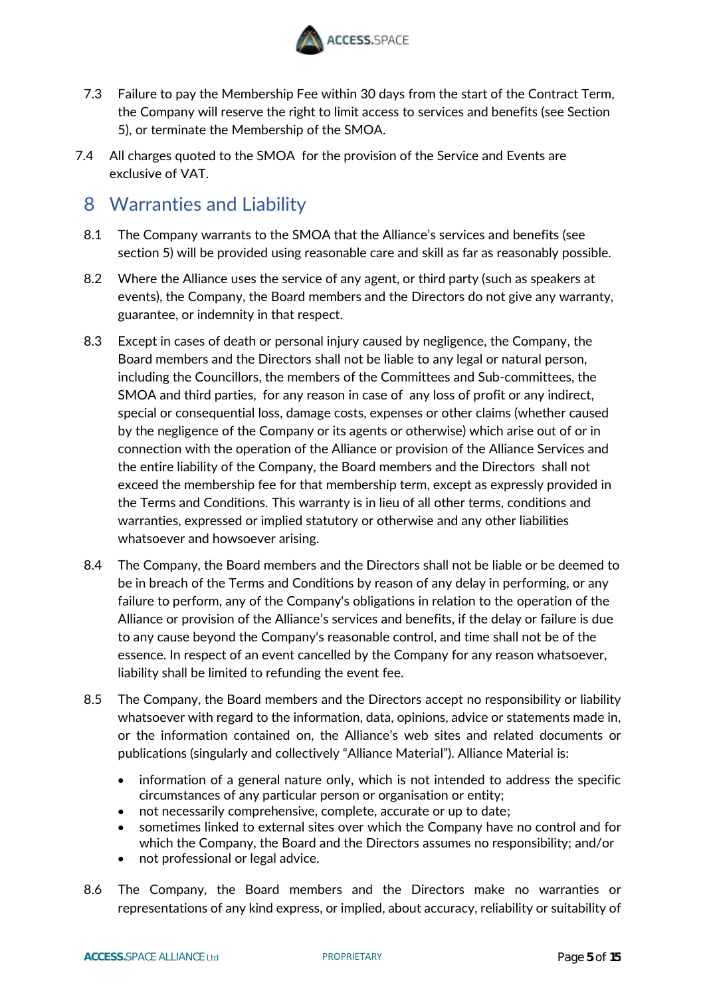

- 7.3 Failure to pay the Membership Fee within 30 days from the start of the Contract Term, the Company will reserve the right to limit access to services and benefits (see Section 5), or terminate the Membership of the SMOA.
- 7.4 All charges quoted to the SMOA for the provision of the Service and Events are exclusive of VAT.

# 8 Warranties and Liability

- 8.1 The Company warrants to the SMOA that the Alliance's services and benefits (see section 5) will be provided using reasonable care and skill as far as reasonably possible.
- 8.2 Where the Alliance uses the service of any agent, or third party (such as speakers at events), the Company, the Board members and the Directors do not give any warranty, guarantee, or indemnity in that respect.
- 8.3 Except in cases of death or personal injury caused by negligence, the Company, the Board members and the Directors shall not be liable to any legal or natural person, including the Councillors, the members of the Committees and Sub-committees, the SMOA and third parties, for any reason in case of any loss of profit or any indirect, special or consequential loss, damage costs, expenses or other claims (whether caused by the negligence of the Company or its agents or otherwise) which arise out of or in connection with the operation of the Alliance or provision of the Alliance Services and the entire liability of the Company, the Board members and the Directors shall not exceed the membership fee for that membership term, except as expressly provided in the Terms and Conditions. This warranty is in lieu of all other terms, conditions and warranties, expressed or implied statutory or otherwise and any other liabilities whatsoever and howsoever arising.
- 8.4 The Company, the Board members and the Directors shall not be liable or be deemed to be in breach of the Terms and Conditions by reason of any delay in performing, or any failure to perform, any of the Company's obligations in relation to the operation of the Alliance or provision of the Alliance's services and benefits, if the delay or failure is due to any cause beyond the Company's reasonable control, and time shall not be of the essence. In respect of an event cancelled by the Company for any reason whatsoever, liability shall be limited to refunding the event fee.
- 8.5 The Company, the Board members and the Directors accept no responsibility or liability whatsoever with regard to the information, data, opinions, advice or statements made in, or the information contained on, the Alliance's web sites and related documents or publications (singularly and collectively "Alliance Material"). Alliance Material is:
	- information of a general nature only, which is not intended to address the specific circumstances of any particular person or organisation or entity;
	- not necessarily comprehensive, complete, accurate or up to date;
	- sometimes linked to external sites over which the Company have no control and for which the Company, the Board and the Directors assumes no responsibility; and/or
	- not professional or legal advice.
- 8.6 The Company, the Board members and the Directors make no warranties or representations of any kind express, or implied, about accuracy, reliability or suitability of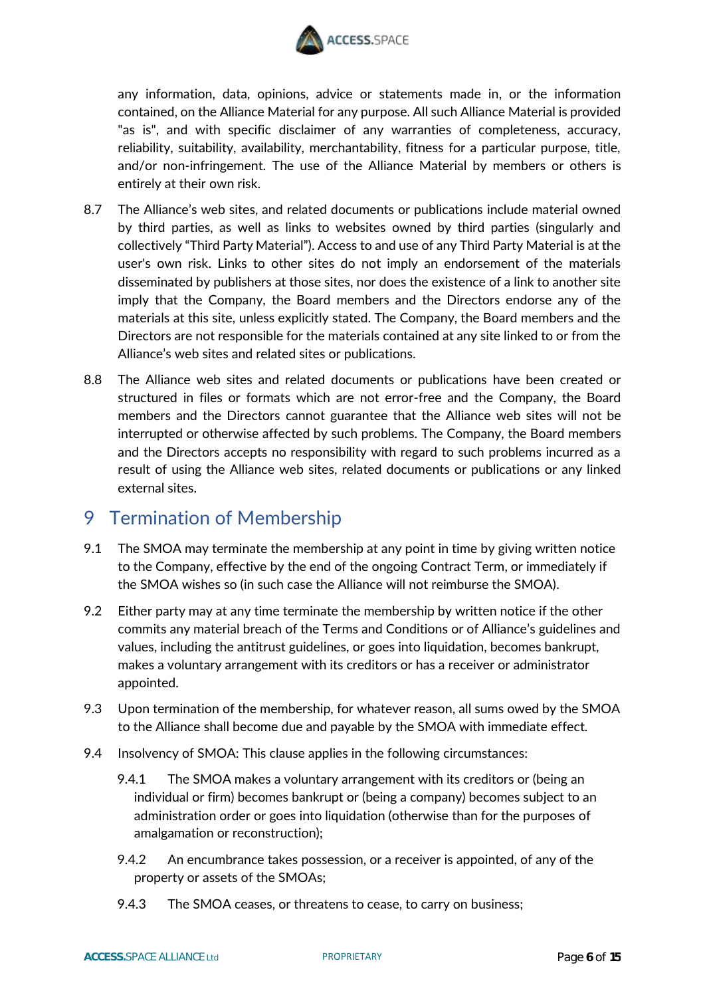

any information, data, opinions, advice or statements made in, or the information contained, on the Alliance Material for any purpose. All such Alliance Material is provided "as is", and with specific disclaimer of any warranties of completeness, accuracy, reliability, suitability, availability, merchantability, fitness for a particular purpose, title, and/or non-infringement. The use of the Alliance Material by members or others is entirely at their own risk.

- 8.7 The Alliance's web sites, and related documents or publications include material owned by third parties, as well as links to websites owned by third parties (singularly and collectively "Third Party Material"). Access to and use of any Third Party Material is at the user's own risk. Links to other sites do not imply an endorsement of the materials disseminated by publishers at those sites, nor does the existence of a link to another site imply that the Company, the Board members and the Directors endorse any of the materials at this site, unless explicitly stated. The Company, the Board members and the Directors are not responsible for the materials contained at any site linked to or from the Alliance's web sites and related sites or publications.
- 8.8 The Alliance web sites and related documents or publications have been created or structured in files or formats which are not error-free and the Company, the Board members and the Directors cannot guarantee that the Alliance web sites will not be interrupted or otherwise affected by such problems. The Company, the Board members and the Directors accepts no responsibility with regard to such problems incurred as a result of using the Alliance web sites, related documents or publications or any linked external sites.

# 9 Termination of Membership

- 9.1 The SMOA may terminate the membership at any point in time by giving written notice to the Company, effective by the end of the ongoing Contract Term, or immediately if the SMOA wishes so (in such case the Alliance will not reimburse the SMOA).
- 9.2 Either party may at any time terminate the membership by written notice if the other commits any material breach of the Terms and Conditions or of Alliance's guidelines and values, including the antitrust guidelines, or goes into liquidation, becomes bankrupt, makes a voluntary arrangement with its creditors or has a receiver or administrator appointed.
- 9.3 Upon termination of the membership, for whatever reason, all sums owed by the SMOA to the Alliance shall become due and payable by the SMOA with immediate effect.
- 9.4 Insolvency of SMOA: This clause applies in the following circumstances:
	- 9.4.1 The SMOA makes a voluntary arrangement with its creditors or (being an individual or firm) becomes bankrupt or (being a company) becomes subject to an administration order or goes into liquidation (otherwise than for the purposes of amalgamation or reconstruction);
	- 9.4.2 An encumbrance takes possession, or a receiver is appointed, of any of the property or assets of the SMOAs;
	- 9.4.3 The SMOA ceases, or threatens to cease, to carry on business;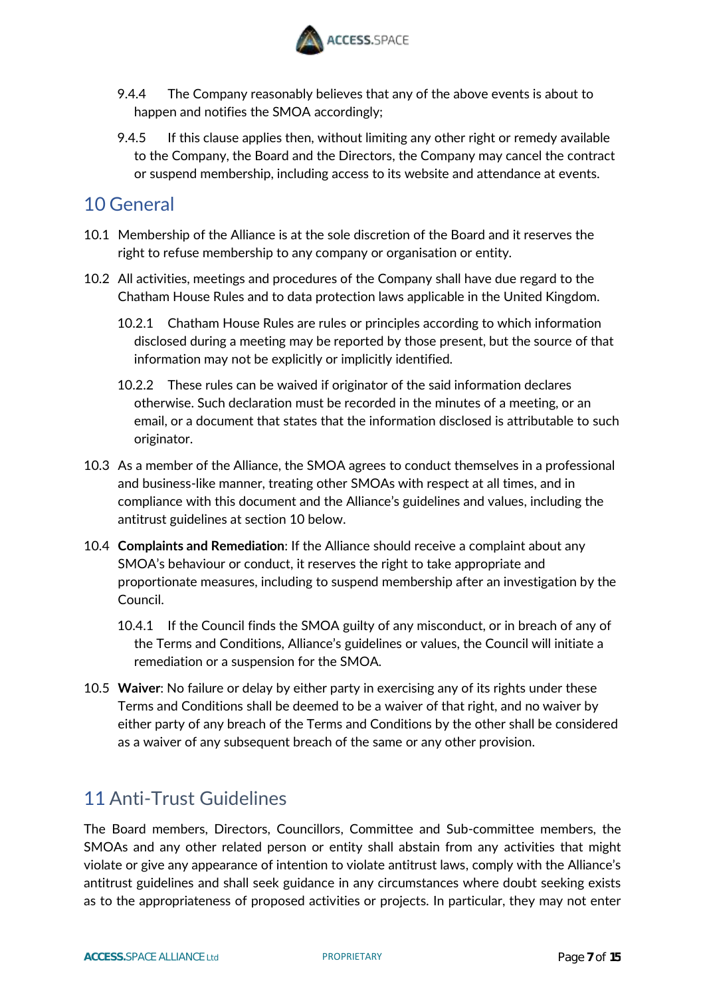

- 9.4.4 The Company reasonably believes that any of the above events is about to happen and notifies the SMOA accordingly;
- 9.4.5 If this clause applies then, without limiting any other right or remedy available to the Company, the Board and the Directors, the Company may cancel the contract or suspend membership, including access to its website and attendance at events.

# 10 General

- 10.1 Membership of the Alliance is at the sole discretion of the Board and it reserves the right to refuse membership to any company or organisation or entity.
- 10.2 All activities, meetings and procedures of the Company shall have due regard to the Chatham House Rules and to data protection laws applicable in the United Kingdom.
	- 10.2.1 Chatham House Rules are rules or principles according to which information disclosed during a meeting may be reported by those present, but the source of that information may not be explicitly or implicitly identified.
	- 10.2.2 These rules can be waived if originator of the said information declares otherwise. Such declaration must be recorded in the minutes of a meeting, or an email, or a document that states that the information disclosed is attributable to such originator.
- 10.3 As a member of the Alliance, the SMOA agrees to conduct themselves in a professional and business-like manner, treating other SMOAs with respect at all times, and in compliance with this document and the Alliance's guidelines and values, including the antitrust guidelines at section 10 below.
- 10.4 **Complaints and Remediation**: If the Alliance should receive a complaint about any SMOA's behaviour or conduct, it reserves the right to take appropriate and proportionate measures, including to suspend membership after an investigation by the Council.
	- 10.4.1 If the Council finds the SMOA guilty of any misconduct, or in breach of any of the Terms and Conditions, Alliance's guidelines or values, the Council will initiate a remediation or a suspension for the SMOA.
- 10.5 **Waiver**: No failure or delay by either party in exercising any of its rights under these Terms and Conditions shall be deemed to be a waiver of that right, and no waiver by either party of any breach of the Terms and Conditions by the other shall be considered as a waiver of any subsequent breach of the same or any other provision.

# 11 Anti-Trust Guidelines

The Board members, Directors, Councillors, Committee and Sub-committee members, the SMOAs and any other related person or entity shall abstain from any activities that might violate or give any appearance of intention to violate antitrust laws, comply with the Alliance's antitrust guidelines and shall seek guidance in any circumstances where doubt seeking exists as to the appropriateness of proposed activities or projects. In particular, they may not enter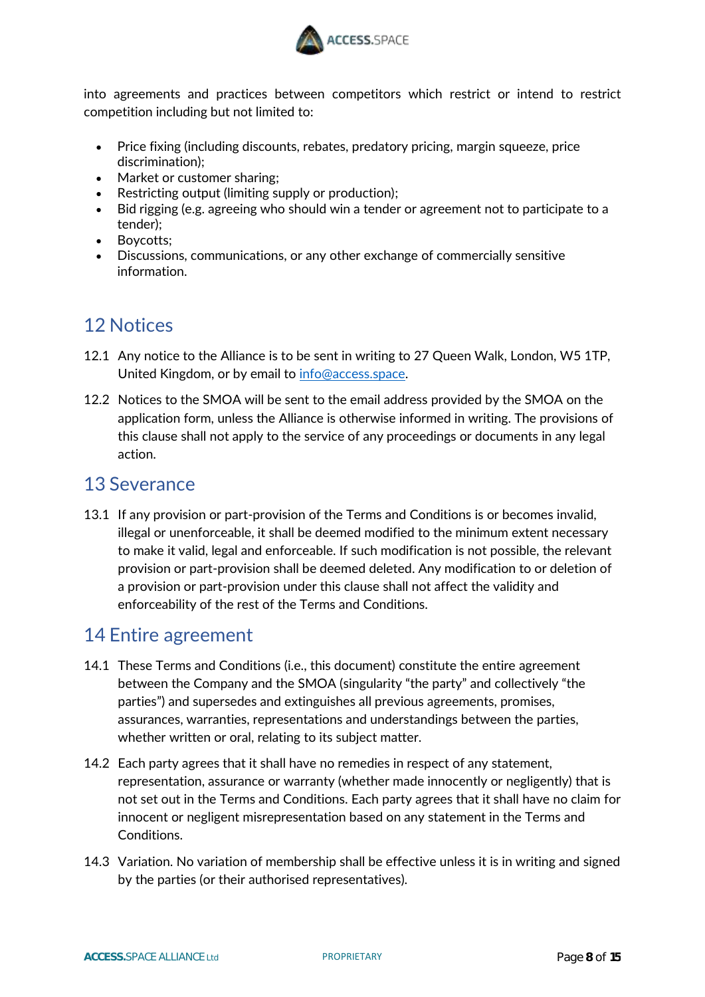

into agreements and practices between competitors which restrict or intend to restrict competition including but not limited to:

- Price fixing (including discounts, rebates, predatory pricing, margin squeeze, price discrimination);
- Market or customer sharing;
- Restricting output (limiting supply or production);
- Bid rigging (e.g. agreeing who should win a tender or agreement not to participate to a tender);
- Boycotts;
- Discussions, communications, or any other exchange of commercially sensitive information.

# 12 Notices

- 12.1 Any notice to the Alliance is to be sent in writing to 27 Queen Walk, London, W5 1TP, United Kingdom, or by email to [info@access.space.](mailto:info@access.space)
- 12.2 Notices to the SMOA will be sent to the email address provided by the SMOA on the application form, unless the Alliance is otherwise informed in writing. The provisions of this clause shall not apply to the service of any proceedings or documents in any legal action.

# 13 Severance

13.1 If any provision or part-provision of the Terms and Conditions is or becomes invalid, illegal or unenforceable, it shall be deemed modified to the minimum extent necessary to make it valid, legal and enforceable. If such modification is not possible, the relevant provision or part-provision shall be deemed deleted. Any modification to or deletion of a provision or part-provision under this clause shall not affect the validity and enforceability of the rest of the Terms and Conditions.

# 14 Entire agreement

- 14.1 These Terms and Conditions (i.e., this document) constitute the entire agreement between the Company and the SMOA (singularity "the party" and collectively "the parties") and supersedes and extinguishes all previous agreements, promises, assurances, warranties, representations and understandings between the parties, whether written or oral, relating to its subject matter.
- 14.2 Each party agrees that it shall have no remedies in respect of any statement, representation, assurance or warranty (whether made innocently or negligently) that is not set out in the Terms and Conditions. Each party agrees that it shall have no claim for innocent or negligent misrepresentation based on any statement in the Terms and Conditions.
- 14.3 Variation. No variation of membership shall be effective unless it is in writing and signed by the parties (or their authorised representatives).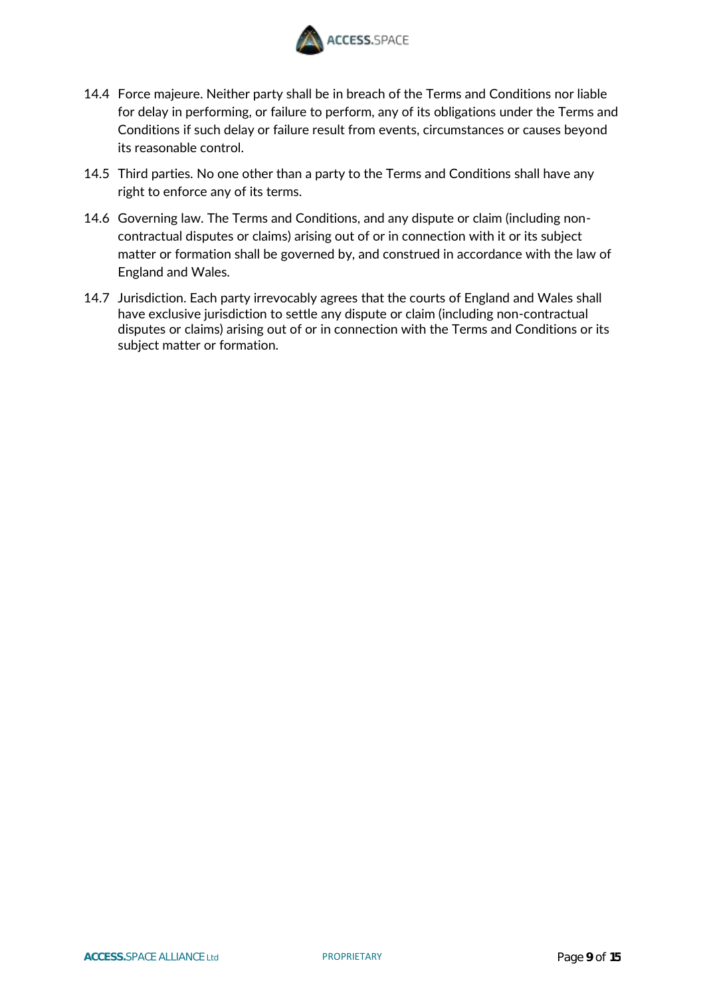

- 14.4 Force majeure. Neither party shall be in breach of the Terms and Conditions nor liable for delay in performing, or failure to perform, any of its obligations under the Terms and Conditions if such delay or failure result from events, circumstances or causes beyond its reasonable control.
- 14.5 Third parties. No one other than a party to the Terms and Conditions shall have any right to enforce any of its terms.
- 14.6 Governing law. The Terms and Conditions, and any dispute or claim (including noncontractual disputes or claims) arising out of or in connection with it or its subject matter or formation shall be governed by, and construed in accordance with the law of England and Wales.
- 14.7 Jurisdiction. Each party irrevocably agrees that the courts of England and Wales shall have exclusive jurisdiction to settle any dispute or claim (including non-contractual disputes or claims) arising out of or in connection with the Terms and Conditions or its subject matter or formation.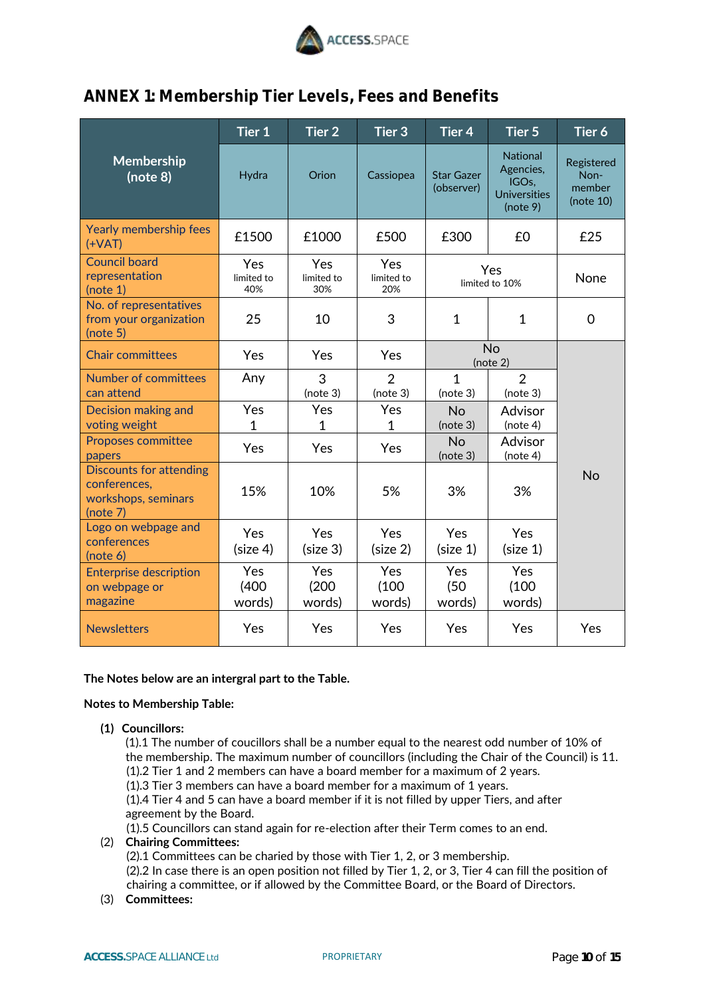

# **ANNEX 1: Membership Tier Levels, Fees and Benefits**

|                                                                                   | Tier 1                   | Tier <sub>2</sub>           | Tier <sub>3</sub>          | Tier <sub>4</sub>               | Tier 5                                                                   | Tier 6                                    |
|-----------------------------------------------------------------------------------|--------------------------|-----------------------------|----------------------------|---------------------------------|--------------------------------------------------------------------------|-------------------------------------------|
| <b>Membership</b><br>(note 8)                                                     | Hydra                    | Orion                       | Cassiopea                  | <b>Star Gazer</b><br>(observer) | <b>National</b><br>Agencies,<br>IGOs,<br><b>Universities</b><br>(note 9) | Registered<br>Non-<br>member<br>(note 10) |
| Yearly membership fees<br>$(+VAT)$                                                | £1500                    | £1000                       | £500                       | £300                            | £0                                                                       | £25                                       |
| <b>Council board</b><br>representation<br>(note 1)                                | Yes<br>limited to<br>40% | Yes<br>limited to<br>30%    | Yes<br>limited to<br>20%   | Yes<br>limited to 10%           |                                                                          | None                                      |
| No. of representatives<br>from your organization<br>(note 5)                      | 25                       | 10                          | 3                          | $\mathbf{1}$                    | $\mathbf{1}$                                                             | $\mathbf 0$                               |
| <b>Chair committees</b>                                                           | Yes                      | Yes                         | Yes                        | <b>No</b><br>(note 2)           |                                                                          |                                           |
| <b>Number of committees</b><br>can attend                                         | Any                      | 3<br>(note 3)               | $\overline{2}$<br>(note 3) | 1<br>(note 3)                   | $\overline{2}$<br>(note 3)                                               |                                           |
| Decision making and<br>voting weight                                              | Yes<br>1                 | Yes<br>$\mathbf{1}$         | Yes<br>$\mathbf 1$         | <b>No</b><br>(note 3)           | Advisor<br>(note 4)                                                      |                                           |
| <b>Proposes committee</b><br>papers                                               | Yes                      | Yes                         | Yes                        | <b>No</b><br>(note 3)           | Advisor<br>(note 4)                                                      |                                           |
| <b>Discounts for attending</b><br>conferences,<br>workshops, seminars<br>(note 7) | 15%                      | 10%                         | 5%                         | 3%                              | 3%                                                                       | <b>No</b>                                 |
| Logo on webpage and<br>conferences<br>(note 6)                                    | Yes<br>(size 4)          | Yes<br>(size <sub>3</sub> ) | Yes<br>(size 2)            | Yes<br>(size 1)                 | Yes<br>(size 1)                                                          |                                           |
| <b>Enterprise description</b><br>on webpage or<br>magazine                        | Yes<br>(400)<br>words)   | Yes<br>(200)<br>words)      | Yes<br>(100)<br>words)     | Yes<br>(50)<br>words)           | Yes<br>(100)<br>words)                                                   |                                           |
| <b>Newsletters</b>                                                                | Yes                      | Yes                         | Yes                        | Yes                             | Yes                                                                      | Yes                                       |

### **The Notes below are an intergral part to the Table.**

### **Notes to Membership Table:**

**(1) Councillors:**

(1).1 The number of coucillors shall be a number equal to the nearest odd number of 10% of the membership. The maximum number of councillors (including the Chair of the Council) is 11. (1).2 Tier 1 and 2 members can have a board member for a maximum of 2 years. (1).3 Tier 3 members can have a board member for a maximum of 1 years. (1).4 Tier 4 and 5 can have a board member if it is not filled by upper Tiers, and after agreement by the Board.

(1).5 Councillors can stand again for re-election after their Term comes to an end.

### (2) **Chairing Committees:**

(2).1 Committees can be charied by those with Tier 1, 2, or 3 membership. (2).2 In case there is an open position not filled by Tier 1, 2, or 3, Tier 4 can fill the position of chairing a committee, or if allowed by the Committee Board, or the Board of Directors.

(3) **Committees:**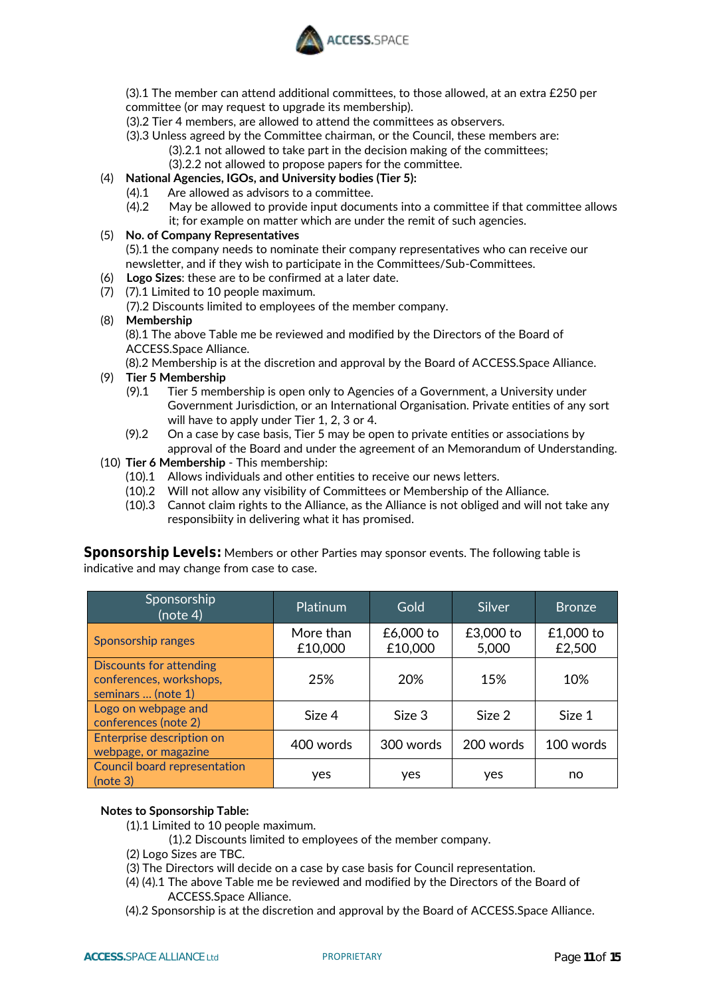

- (3).1 The member can attend additional committees, to those allowed, at an extra £250 per committee (or may request to upgrade its membership).
- (3).2 Tier 4 members, are allowed to attend the committees as observers.
- (3).3 Unless agreed by the Committee chairman, or the Council, these members are:
	- (3).2.1 not allowed to take part in the decision making of the committees;
	- (3).2.2 not allowed to propose papers for the committee.
- (4) **National Agencies, IGOs, and University bodies (Tier 5):**
	- (4).1 Are allowed as advisors to a committee.
		- (4).2 May be allowed to provide input documents into a committee if that committee allows it; for example on matter which are under the remit of such agencies.

### (5) **No. of Company Representatives**

(5).1 the company needs to nominate their company representatives who can receive our newsletter, and if they wish to participate in the Committees/Sub-Committees.

- (6) **Logo Sizes**: these are to be confirmed at a later date.
- (7) (7).1 Limited to 10 people maximum.

(7).2 Discounts limited to employees of the member company.

### (8) **Membership**

(8).1 The above Table me be reviewed and modified by the Directors of the Board of ACCESS.Space Alliance.

(8).2 Membership is at the discretion and approval by the Board of ACCESS.Space Alliance.

### (9) **Tier 5 Membership**

- (9).1 Tier 5 membership is open only to Agencies of a Government, a University under Government Jurisdiction, or an International Organisation. Private entities of any sort will have to apply under Tier 1, 2, 3 or 4.
- (9).2 On a case by case basis, Tier 5 may be open to private entities or associations by approval of the Board and under the agreement of an Memorandum of Understanding.

### (10) **Tier 6 Membership** - This membership:

- (10).1 Allows individuals and other entities to receive our news letters.
- (10).2 Will not allow any visibility of Committees or Membership of the Alliance.
- (10).3 Cannot claim rights to the Alliance, as the Alliance is not obliged and will not take any responsibiity in delivering what it has promised.

**Sponsorship Levels:** Members or other Parties may sponsor events. The following table is indicative and may change from case to case.

| Sponsorship<br>(note 4)                                                         | Platinum             | Gold                 | <b>Silver</b>      | <b>Bronze</b>       |
|---------------------------------------------------------------------------------|----------------------|----------------------|--------------------|---------------------|
| Sponsorship ranges                                                              | More than<br>£10,000 | £6,000 to<br>£10,000 | £3,000 to<br>5,000 | £1,000 to<br>£2,500 |
| <b>Discounts for attending</b><br>conferences, workshops,<br>seminars  (note 1) | 25%                  | 20%                  | 15%                | 10%                 |
| Logo on webpage and<br>conferences (note 2)                                     | Size 4               | Size 3               | Size 2             | Size 1              |
| Enterprise description on<br>webpage, or magazine                               | 400 words            | 300 words            | 200 words          | 100 words           |
| <b>Council board representation</b><br>(note 3)                                 | yes                  | yes                  | yes                | no                  |

### **Notes to Sponsorship Table:**

(1).1 Limited to 10 people maximum.

- (1).2 Discounts limited to employees of the member company.
- (2) Logo Sizes are TBC.
- (3) The Directors will decide on a case by case basis for Council representation.
- (4) (4).1 The above Table me be reviewed and modified by the Directors of the Board of ACCESS.Space Alliance.
- (4).2 Sponsorship is at the discretion and approval by the Board of ACCESS.Space Alliance.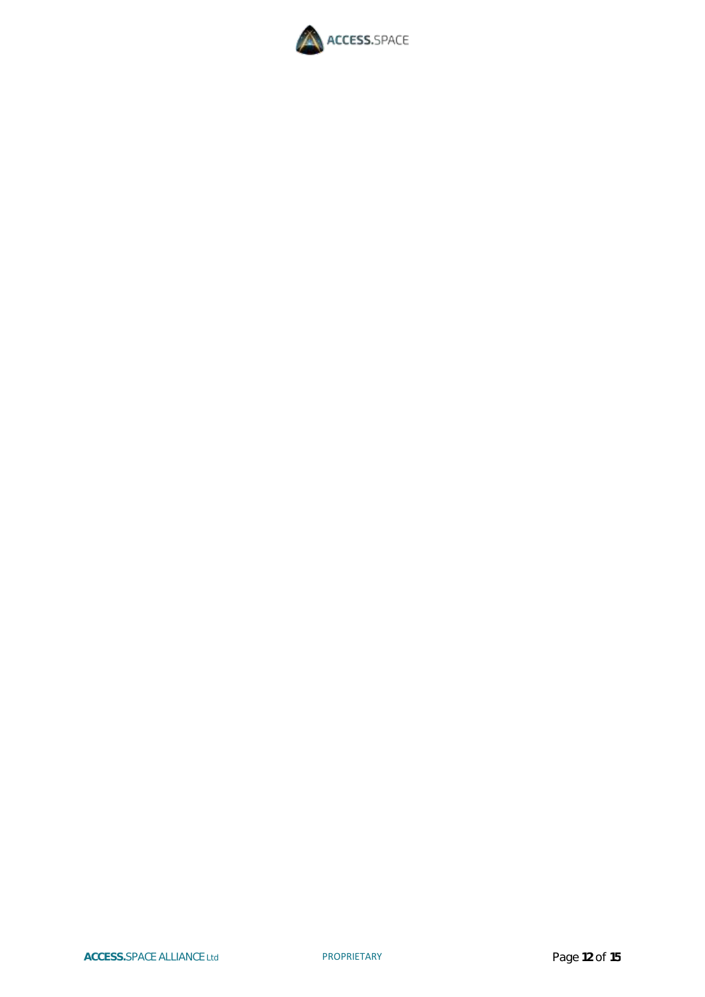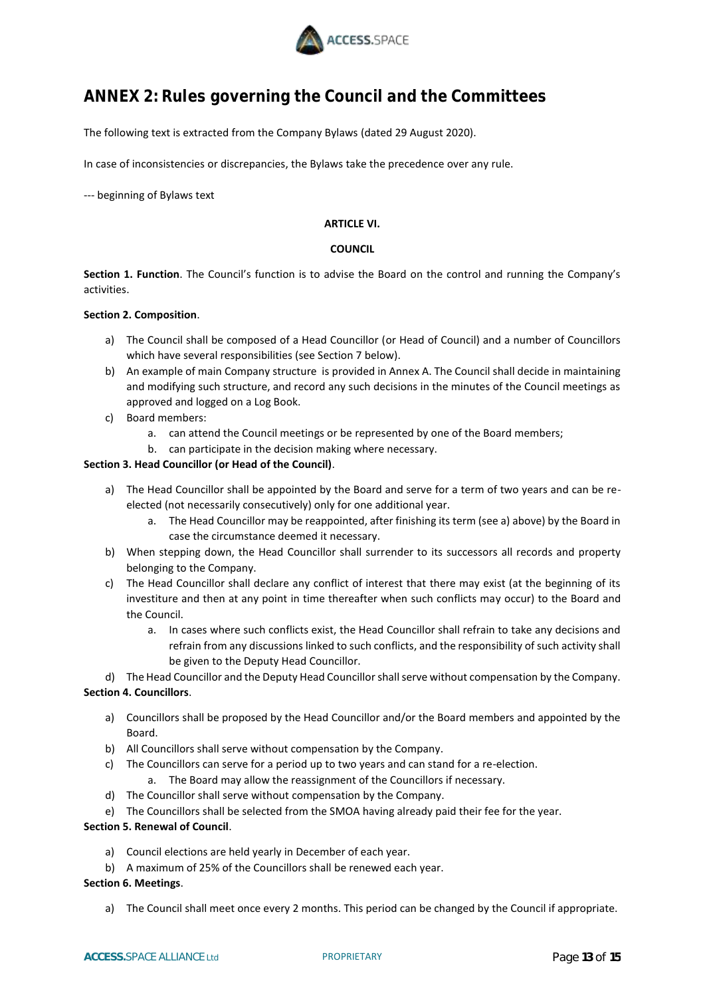

# **ANNEX 2: Rules governing the Council and the Committees**

The following text is extracted from the Company Bylaws (dated 29 August 2020).

In case of inconsistencies or discrepancies, the Bylaws take the precedence over any rule.

--- beginning of Bylaws text

#### **ARTICLE VI.**

#### **COUNCIL**

**Section 1. Function**. The Council's function is to advise the Board on the control and running the Company's activities.

#### **Section 2. Composition**.

- a) The Council shall be composed of a Head Councillor (or Head of Council) and a number of Councillors which have several responsibilities (see Section 7 below).
- b) An example of main Company structure is provided in Annex A. The Council shall decide in maintaining and modifying such structure, and record any such decisions in the minutes of the Council meetings as approved and logged on a Log Book.
- c) Board members:
	- a. can attend the Council meetings or be represented by one of the Board members;
	- b. can participate in the decision making where necessary.

#### **Section 3. Head Councillor (or Head of the Council)**.

- a) The Head Councillor shall be appointed by the Board and serve for a term of two years and can be reelected (not necessarily consecutively) only for one additional year.
	- a. The Head Councillor may be reappointed, after finishing its term (see a) above) by the Board in case the circumstance deemed it necessary.
- b) When stepping down, the Head Councillor shall surrender to its successors all records and property belonging to the Company.
- c) The Head Councillor shall declare any conflict of interest that there may exist (at the beginning of its investiture and then at any point in time thereafter when such conflicts may occur) to the Board and the Council.
	- a. In cases where such conflicts exist, the Head Councillor shall refrain to take any decisions and refrain from any discussions linked to such conflicts, and the responsibility of such activity shall be given to the Deputy Head Councillor.

d) The Head Councillor and the Deputy Head Councillor shall serve without compensation by the Company. **Section 4. Councillors**.

- a) Councillors shall be proposed by the Head Councillor and/or the Board members and appointed by the Board.
- b) All Councillors shall serve without compensation by the Company.
- c) The Councillors can serve for a period up to two years and can stand for a re-election.
	- a. The Board may allow the reassignment of the Councillors if necessary.
- d) The Councillor shall serve without compensation by the Company.
- e) The Councillors shall be selected from the SMOA having already paid their fee for the year.

#### **Section 5. Renewal of Council**.

- a) Council elections are held yearly in December of each year.
- b) A maximum of 25% of the Councillors shall be renewed each year.

### **Section 6. Meetings**.

a) The Council shall meet once every 2 months. This period can be changed by the Council if appropriate.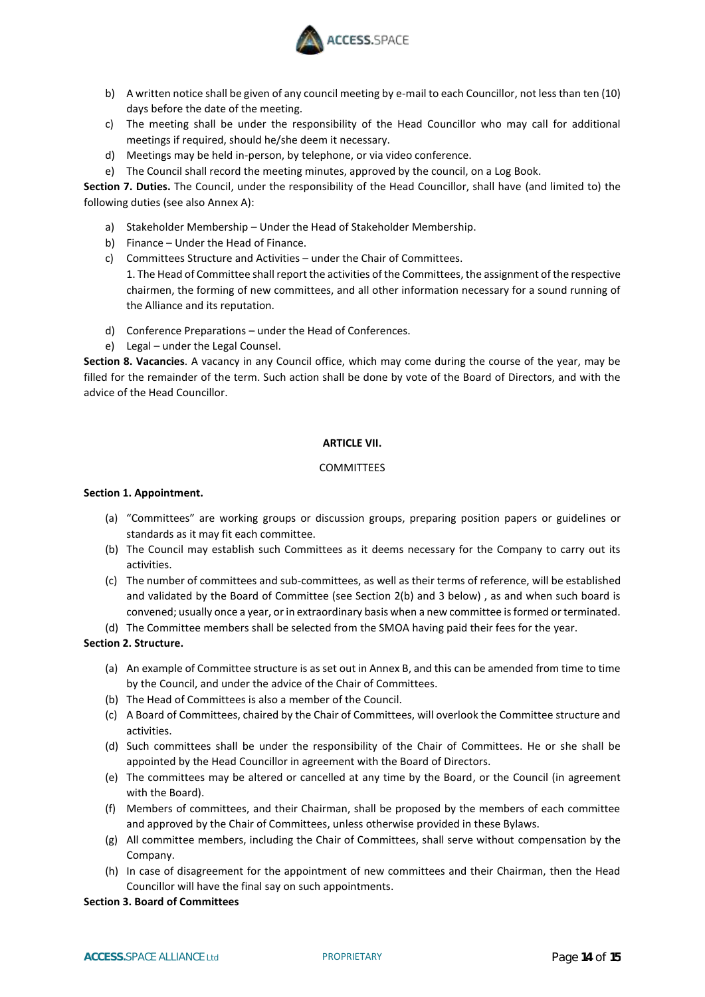

- b) A written notice shall be given of any council meeting by e-mail to each Councillor, not less than ten (10) days before the date of the meeting.
- c) The meeting shall be under the responsibility of the Head Councillor who may call for additional meetings if required, should he/she deem it necessary.
- d) Meetings may be held in-person, by telephone, or via video conference.
- e) The Council shall record the meeting minutes, approved by the council, on a Log Book.

**Section 7. Duties.** The Council, under the responsibility of the Head Councillor, shall have (and limited to) the following duties (see also Annex A):

- a) Stakeholder Membership Under the Head of Stakeholder Membership.
- b) Finance Under the Head of Finance.
- c) Committees Structure and Activities under the Chair of Committees.

1. The Head of Committee shall report the activities of the Committees, the assignment of the respective chairmen, the forming of new committees, and all other information necessary for a sound running of the Alliance and its reputation.

- d) Conference Preparations under the Head of Conferences.
- e) Legal under the Legal Counsel.

**Section 8. Vacancies**. A vacancy in any Council office, which may come during the course of the year, may be filled for the remainder of the term. Such action shall be done by vote of the Board of Directors, and with the advice of the Head Councillor.

### **ARTICLE VII.**

### COMMITTEES

#### **Section 1. Appointment.**

- (a) "Committees" are working groups or discussion groups, preparing position papers or guidelines or standards as it may fit each committee.
- (b) The Council may establish such Committees as it deems necessary for the Company to carry out its activities.
- (c) The number of committees and sub-committees, as well as their terms of reference, will be established and validated by the Board of Committee (see Section 2(b) and 3 below) , as and when such board is convened; usually once a year, or in extraordinary basis when a new committee is formed or terminated.
- (d) The Committee members shall be selected from the SMOA having paid their fees for the year.

### **Section 2. Structure.**

- (a) An example of Committee structure is as set out in Annex B, and this can be amended from time to time by the Council, and under the advice of the Chair of Committees.
- (b) The Head of Committees is also a member of the Council.
- (c) A Board of Committees, chaired by the Chair of Committees, will overlook the Committee structure and activities.
- (d) Such committees shall be under the responsibility of the Chair of Committees. He or she shall be appointed by the Head Councillor in agreement with the Board of Directors.
- (e) The committees may be altered or cancelled at any time by the Board, or the Council (in agreement with the Board).
- (f) Members of committees, and their Chairman, shall be proposed by the members of each committee and approved by the Chair of Committees, unless otherwise provided in these Bylaws.
- (g) All committee members, including the Chair of Committees, shall serve without compensation by the Company.
- (h) In case of disagreement for the appointment of new committees and their Chairman, then the Head Councillor will have the final say on such appointments.

### **Section 3. Board of Committees**